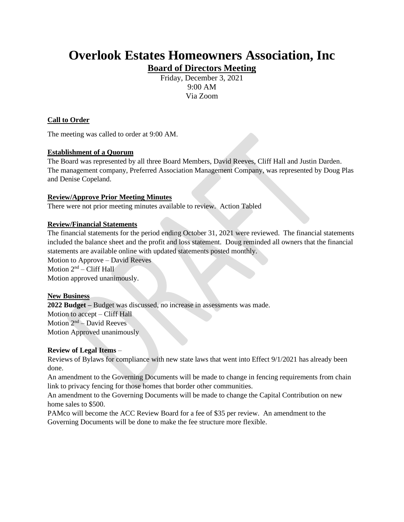# **Overlook Estates Homeowners Association, Inc Board of Directors Meeting**

Friday, December 3, 2021 9:00 AM Via Zoom

# **Call to Order**

The meeting was called to order at 9:00 AM.

# **Establishment of a Quorum**

The Board was represented by all three Board Members, David Reeves, Cliff Hall and Justin Darden. The management company, Preferred Association Management Company, was represented by Doug Plas and Denise Copeland.

#### **Review/Approve Prior Meeting Minutes**

There were not prior meeting minutes available to review. Action Tabled

#### **Review/Financial Statements**

The financial statements for the period ending October 31, 2021 were reviewed. The financial statements included the balance sheet and the profit and loss statement. Doug reminded all owners that the financial statements are available online with updated statements posted monthly.

Motion to Approve – David Reeves Motion  $2<sup>nd</sup>$  – Cliff Hall

Motion approved unanimously.

#### **New Business**

**2022 Budget –** Budget was discussed, no increase in assessments was made. Motion to accept – Cliff Hall Motion  $2<sup>nd</sup>$  – David Reeves Motion Approved unanimously

# **Review of Legal Items** –

Reviews of Bylaws for compliance with new state laws that went into Effect 9/1/2021 has already been done.

An amendment to the Governing Documents will be made to change in fencing requirements from chain link to privacy fencing for those homes that border other communities.

An amendment to the Governing Documents will be made to change the Capital Contribution on new home sales to \$500.

PAMco will become the ACC Review Board for a fee of \$35 per review. An amendment to the Governing Documents will be done to make the fee structure more flexible.